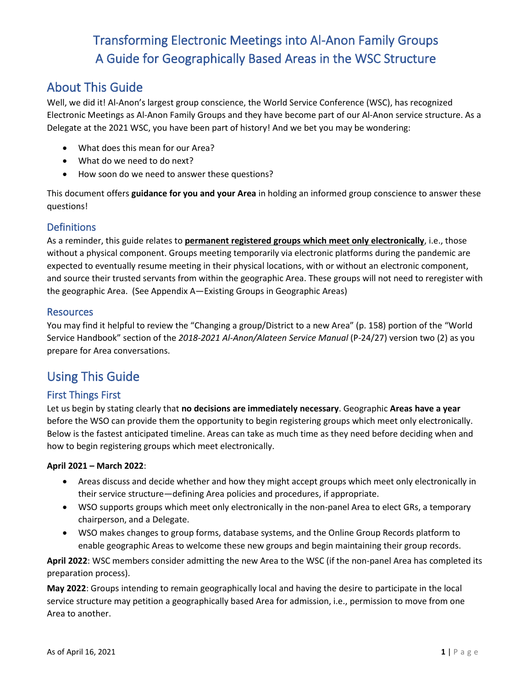## About This Guide

Well, we did it! Al-Anon's largest group conscience, the World Service Conference (WSC), has recognized Electronic Meetings as Al-Anon Family Groups and they have become part of our Al-Anon service structure. As a Delegate at the 2021 WSC, you have been part of history! And we bet you may be wondering:

- What does this mean for our Area?
- What do we need to do next?
- How soon do we need to answer these questions?

This document offers **guidance for you and your Area** in holding an informed group conscience to answer these questions!

### **Definitions**

As a reminder, this guide relates to **permanent registered groups which meet only electronically**, i.e., those without a physical component. Groups meeting temporarily via electronic platforms during the pandemic are expected to eventually resume meeting in their physical locations, with or without an electronic component, and source their trusted servants from within the geographic Area. These groups will not need to reregister with the geographic Area. (See Appendix A—Existing Groups in Geographic Areas)

#### **Resources**

You may find it helpful to review the "Changing a group/District to a new Area" (p. 158) portion of the "World Service Handbook" section of the *2018-2021 Al-Anon/Alateen Service Manual* (P-24/27) version two (2) as you prepare for Area conversations.

## Using This Guide

### First Things First

Let us begin by stating clearly that **no decisions are immediately necessary**. Geographic **Areas have a year** before the WSO can provide them the opportunity to begin registering groups which meet only electronically. Below is the fastest anticipated timeline. Areas can take as much time as they need before deciding when and how to begin registering groups which meet electronically.

#### **April 2021 – March 2022**:

- Areas discuss and decide whether and how they might accept groups which meet only electronically in their service structure—defining Area policies and procedures, if appropriate.
- WSO supports groups which meet only electronically in the non-panel Area to elect GRs, a temporary chairperson, and a Delegate.
- WSO makes changes to group forms, database systems, and the Online Group Records platform to enable geographic Areas to welcome these new groups and begin maintaining their group records.

**April 2022**: WSC members consider admitting the new Area to the WSC (if the non-panel Area has completed its preparation process).

**May 2022**: Groups intending to remain geographically local and having the desire to participate in the local service structure may petition a geographically based Area for admission, i.e., permission to move from one Area to another.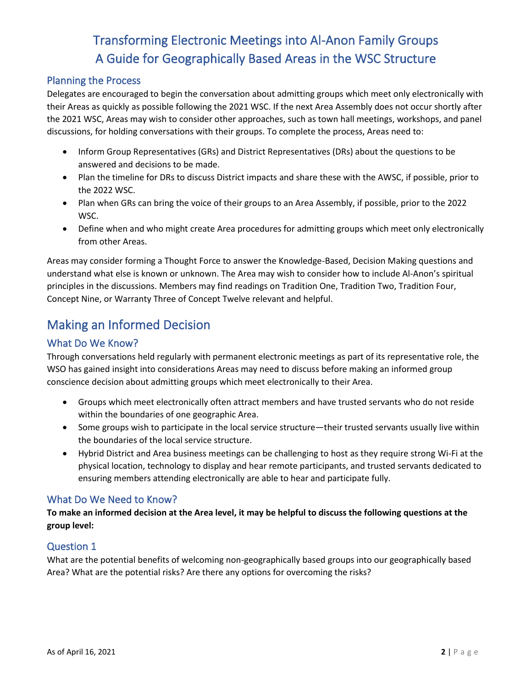### Planning the Process

Delegates are encouraged to begin the conversation about admitting groups which meet only electronically with their Areas as quickly as possible following the 2021 WSC. If the next Area Assembly does not occur shortly after the 2021 WSC, Areas may wish to consider other approaches, such as town hall meetings, workshops, and panel discussions, for holding conversations with their groups. To complete the process, Areas need to:

- Inform Group Representatives (GRs) and District Representatives (DRs) about the questions to be answered and decisions to be made.
- Plan the timeline for DRs to discuss District impacts and share these with the AWSC, if possible, prior to the 2022 WSC.
- Plan when GRs can bring the voice of their groups to an Area Assembly, if possible, prior to the 2022 WSC.
- Define when and who might create Area procedures for admitting groups which meet only electronically from other Areas.

Areas may consider forming a Thought Force to answer the Knowledge-Based, Decision Making questions and understand what else is known or unknown. The Area may wish to consider how to include Al-Anon's spiritual principles in the discussions. Members may find readings on Tradition One, Tradition Two, Tradition Four, Concept Nine, or Warranty Three of Concept Twelve relevant and helpful.

## Making an Informed Decision

### What Do We Know?

Through conversations held regularly with permanent electronic meetings as part of its representative role, the WSO has gained insight into considerations Areas may need to discuss before making an informed group conscience decision about admitting groups which meet electronically to their Area.

- Groups which meet electronically often attract members and have trusted servants who do not reside within the boundaries of one geographic Area.
- Some groups wish to participate in the local service structure—their trusted servants usually live within the boundaries of the local service structure.
- Hybrid District and Area business meetings can be challenging to host as they require strong Wi-Fi at the physical location, technology to display and hear remote participants, and trusted servants dedicated to ensuring members attending electronically are able to hear and participate fully.

### What Do We Need to Know?

**To make an informed decision at the Area level, it may be helpful to discuss the following questions at the group level:**

### Question 1

What are the potential benefits of welcoming non-geographically based groups into our geographically based Area? What are the potential risks? Are there any options for overcoming the risks?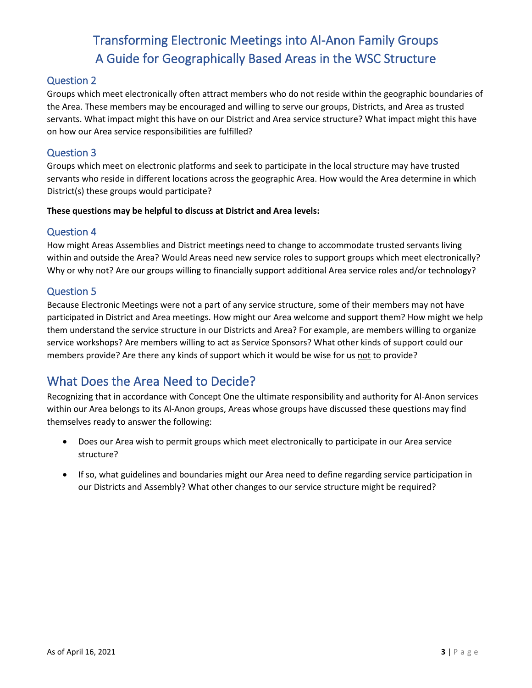### Question 2

Groups which meet electronically often attract members who do not reside within the geographic boundaries of the Area. These members may be encouraged and willing to serve our groups, Districts, and Area as trusted servants. What impact might this have on our District and Area service structure? What impact might this have on how our Area service responsibilities are fulfilled?

### Question 3

Groups which meet on electronic platforms and seek to participate in the local structure may have trusted servants who reside in different locations across the geographic Area. How would the Area determine in which District(s) these groups would participate?

#### **These questions may be helpful to discuss at District and Area levels:**

### Question 4

How might Areas Assemblies and District meetings need to change to accommodate trusted servants living within and outside the Area? Would Areas need new service roles to support groups which meet electronically? Why or why not? Are our groups willing to financially support additional Area service roles and/or technology?

### Question 5

Because Electronic Meetings were not a part of any service structure, some of their members may not have participated in District and Area meetings. How might our Area welcome and support them? How might we help them understand the service structure in our Districts and Area? For example, are members willing to organize service workshops? Are members willing to act as Service Sponsors? What other kinds of support could our members provide? Are there any kinds of support which it would be wise for us not to provide?

## What Does the Area Need to Decide?

Recognizing that in accordance with Concept One the ultimate responsibility and authority for Al-Anon services within our Area belongs to its Al-Anon groups, Areas whose groups have discussed these questions may find themselves ready to answer the following:

- Does our Area wish to permit groups which meet electronically to participate in our Area service structure?
- If so, what guidelines and boundaries might our Area need to define regarding service participation in our Districts and Assembly? What other changes to our service structure might be required?